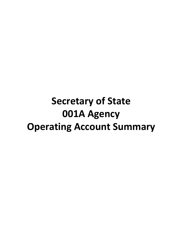## **Secretary of State 001A Agency Operating Account Summary**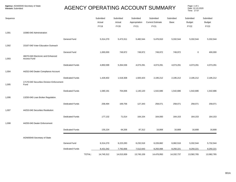## AGENCY OPERATING ACCOUNT SUMMARY

Page: 1 of 1<br>Date: 12-10-2020 Time: 17:57

| Sequence |                                                   |                        |        | Submitted<br>Actual<br><b>FY19</b> | Submitted<br>Actual<br><b>FY20</b> | Submitted<br>Appropriation<br>FY21 | Submitted<br><b>Current Estimate</b><br>FY21 | Submitted<br>Base | Submitted<br><b>Budget</b><br><b>FY22</b> | Submitted<br><b>Budget</b><br><b>FY23</b> |
|----------|---------------------------------------------------|------------------------|--------|------------------------------------|------------------------------------|------------------------------------|----------------------------------------------|-------------------|-------------------------------------------|-------------------------------------------|
| 1,001    | 10380-040 Administration                          |                        |        |                                    |                                    |                                    |                                              |                   |                                           |                                           |
|          |                                                   | General Fund           |        | 5,314,270                          | 5,473,311                          | 5,482,544                          | 5,476,910                                    | 5,332,544         | 5,332,544                                 | 5,332,544                                 |
| 1,002    | 15167-040 Voter Education Outreach                |                        |        |                                    |                                    |                                    |                                              |                   |                                           |                                           |
| 1,003    | 46070-040 Electronic and Enhanced<br>Access Fund  | General Fund           |        | 1,000,000                          | 749,972                            | 749,972                            | 749,972                                      | 749,972           | $\mathsf 0$                               | 400,000                                   |
|          |                                                   | <b>Dedicated Funds</b> |        | 4,850,599                          | 5,264,536                          | 4,073,291                          | 4,073,291                                    | 4,073,291         | 4,073,291                                 | 4,073,291                                 |
| 1,004    | 44252-040 Dealer Compliance Account               |                        |        |                                    |                                    |                                    |                                              |                   |                                           |                                           |
| 1,005    | 17170-040 Securities Division Enforcement<br>Fund | <b>Dedicated Funds</b> |        | 1,429,402                          | 1,518,308                          | 1,920,423                          | 2,195,212                                    | 2,195,212         | 2,195,212                                 | 2,195,212                                 |
|          |                                                   | <b>Dedicated Funds</b> |        | 1,580,191                          | 704,836                            | 1,140,120                          | 1,542,686                                    | 1,542,686         | 1,542,686                                 | 1,542,686                                 |
| 1,006    | 13250-040 Loan Broker Regulation                  |                        |        |                                    |                                    |                                    |                                              |                   |                                           |                                           |
|          |                                                   | <b>Dedicated Funds</b> |        | 258,494                            | 169,756                            | 127,343                            | 258,071                                      | 258,071           | 258,071                                   | 258,071                                   |
| 1,007    | 44253-040 Securities Restitution                  |                        |        |                                    |                                    |                                    |                                              |                   |                                           |                                           |
|          |                                                   | <b>Dedicated Funds</b> |        | 177,132                            | 71,014                             | 164,154                            | 164,000                                      | 164,153           | 164,153                                   | 164,153                                   |
| 1,008    | 44255-040 Dealer Enforcement                      |                        |        |                                    |                                    |                                    |                                              |                   |                                           |                                           |
|          |                                                   | <b>Dedicated Funds</b> |        | 135,224                            | 64,206                             | 87,312                             | 16,808                                       | 16,808            | 16,808                                    | 16,808                                    |
|          | AGN00040-Secretary of State                       |                        |        |                                    |                                    |                                    |                                              |                   |                                           |                                           |
|          |                                                   | General Fund           |        | 6,314,270                          | 6,223,283                          | 6,232,516                          | 6,226,882                                    | 6,082,516         | 5,332,544                                 | 5,732,544                                 |
|          |                                                   | <b>Dedicated Funds</b> |        | 8,431,042                          | 7,792,656                          | 7,512,643                          | 8,250,068                                    | 8,250,221         | 8,250,221                                 | 8,250,221                                 |
|          |                                                   |                        | TOTAL: | 14,745,312                         | 14,015,939                         | 13,745,159                         | 14,476,950                                   | 14,332,737        | 13,582,765                                | 13,982,765                                |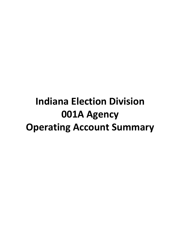## **Indiana Election Division 001A Agency Operating Account Summary**